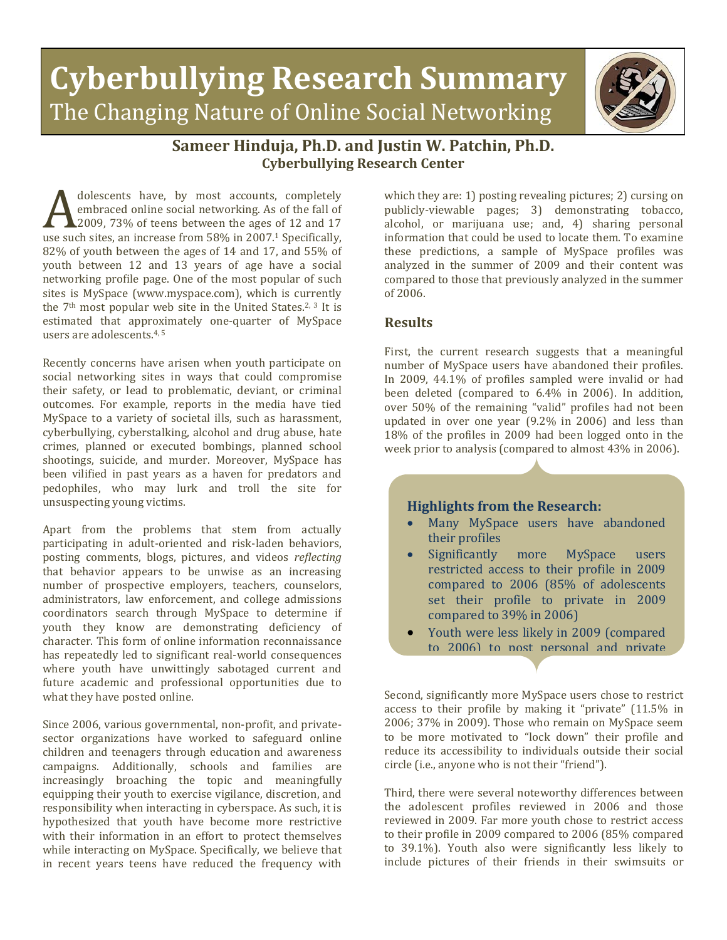



## **Sameer Hinduja, Ph.D. and Justin W. Patchin, Ph.D. Cyberbullying Research Center**

dolescents have, by most accounts, completely embraced online social networking. As of the fall of 2009, 73% of teens between the ages of 12 and 17 use such sites, and interest accounts, completely<br>
ambraced online social networking. As of the fall of<br>
17 use such sites, an increase from 58% in 2007.<sup>1</sup> Specifically,<br>
182% of youth between the ages of 14 and 17 and 55 82% of youth between the ages of 14 and 17, and 55% of youth between 12 and 13 years of age have a social networking profile page. One of the most popular of such sites is MySpace (www.myspace.com), which is currently the  $7<sup>th</sup>$  most popular web site in the United States.<sup>2, 3</sup> It is estimated that approximately one-quarter of MySpace users are adolescents. 4, 5

Recently concerns have arisen when youth participate on social networking sites in ways that could compromise their safety, or lead to problematic, deviant, or criminal outcomes. For example, reports in the media have tied MySpace to a variety of societal ills, such as harassment, cyberbullying, cyberstalking, alcohol and drug abuse, hate crimes, planned or executed bombings, planned school shootings, suicide, and murder. Moreover, MySpace has been vilified in past years as a haven for predators and pedophiles, who may lurk and troll the site for unsuspecting young victims.

Apart from the problems that stem from actually participating in adult-oriented and risk-laden behaviors, posting comments, blogs, pictures, and videos *reflecting* that behavior appears to be unwise as an increasing number of prospective employers, teachers, counselors, administrators, law enforcement, and college admissions coordinators search through MySpace to determine if youth they know are demonstrating deficiency of character. This form of online information reconnaissance has repeatedly led to significant real-world consequences where youth have unwittingly sabotaged current and future academic and professional opportunities due to what they have posted online.

Since 2006, various governmental, non-profit, and privatesector organizations have worked to safeguard online children and teenagers through education and awareness campaigns. Additionally, schools and families are increasingly broaching the topic and meaningfully equipping their youth to exercise vigilance, discretion, and responsibility when interacting in cyberspace. As such, it is hypothesized that youth have become more restrictive with their information in an effort to protect themselves while interacting on MySpace. Specifically, we believe that in recent years teens have reduced the frequency with

which they are: 1) posting revealing pictures; 2) cursing on publicly-viewable pages; 3) demonstrating tobacco, alcohol, or marijuana use; and, 4) sharing personal information that could be used to locate them. To examine these predictions, a sample of MySpace profiles was analyzed in the summer of 2009 and their content was compared to those that previously analyzed in the summer of 2006.

## **Results**

First, the current research suggests that a meaningful number of MySpace users have abandoned their profiles. In 2009, 44.1% of profiles sampled were invalid or had been deleted (compared to 6.4% in 2006). In addition, over 50% of the remaining "valid" profiles had not been updated in over one year (9.2% in 2006) and less than 18% of the profiles in 2009 had been logged onto in the week prior to analysis (compared to almost 43% in 2006).

## **Highlights from the Research:**

- Many MySpace users have abandoned their profiles
- Significantly more MySpace users restricted access to their profile in 2009 compared to 2006 (85% of adolescents set their profile to private in 2009 compared to 39% in 2006)
- Youth were less likely in 2009 (compared to 2006) to post personal and private

Second, significantly more MySpace users chose to restrict access to their profile by making it "private" (11.5% in 2006; 37% in 2009). Those who remain on MySpace seem to be more motivated to "lock down" their profile and reduce its accessibility to individuals outside their social circle (i.e., anyone who is not their "friend").

Third, there were several noteworthy differences between the adolescent profiles reviewed in 2006 and those reviewed in 2009. Far more youth chose to restrict access to their profile in 2009 compared to 2006 (85% compared to 39.1%). Youth also were significantly less likely to include pictures of their friends in their swimsuits or